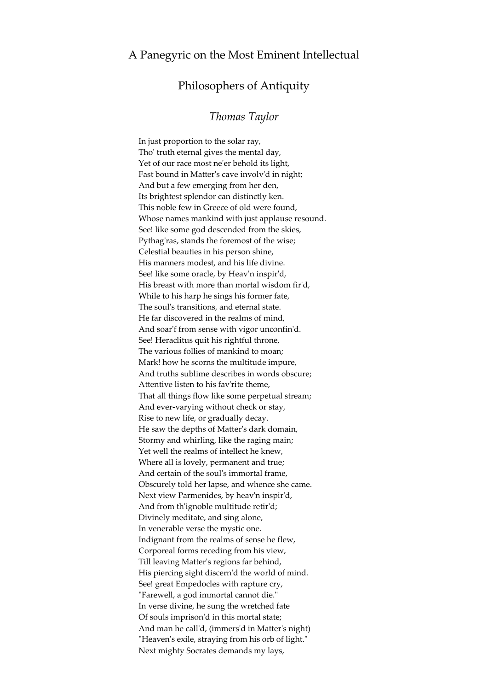## Philosophers of Antiquity

## *Thomas Taylor*

In just proportion to the solar ray, Tho' truth eternal gives the mental day, Yet of our race most ne'er behold its light, Fast bound in Matter's cave involv'd in night; And but a few emerging from her den, Its brightest splendor can distinctly ken. This noble few in Greece of old were found, Whose names mankind with just applause resound. See! like some god descended from the skies, Pythag'ras, stands the foremost of the wise; Celestial beauties in his person shine, His manners modest, and his life divine. See! like some oracle, by Heav'n inspir'd, His breast with more than mortal wisdom fir'd, While to his harp he sings his former fate, The soul's transitions, and eternal state. He far discovered in the realms of mind, And soar'f from sense with vigor unconfin'd. See! Heraclitus quit his rightful throne, The various follies of mankind to moan; Mark! how he scorns the multitude impure, And truths sublime describes in words obscure; Attentive listen to his fav'rite theme, That all things flow like some perpetual stream; And ever-varying without check or stay, Rise to new life, or gradually decay. He saw the depths of Matter's dark domain, Stormy and whirling, like the raging main; Yet well the realms of intellect he knew, Where all is lovely, permanent and true; And certain of the soul's immortal frame, Obscurely told her lapse, and whence she came. Next view Parmenides, by heav'n inspir'd, And from th'ignoble multitude retir'd; Divinely meditate, and sing alone, In venerable verse the mystic one. Indignant from the realms of sense he flew, Corporeal forms receding from his view, Till leaving Matter's regions far behind, His piercing sight discern'd the world of mind. See! great Empedocles with rapture cry, "Farewell, a god immortal cannot die." In verse divine, he sung the wretched fate Of souls imprison'd in this mortal state; And man he call'd, (immers'd in Matter's night) "Heaven's exile, straying from his orb of light." Next mighty Socrates demands my lays,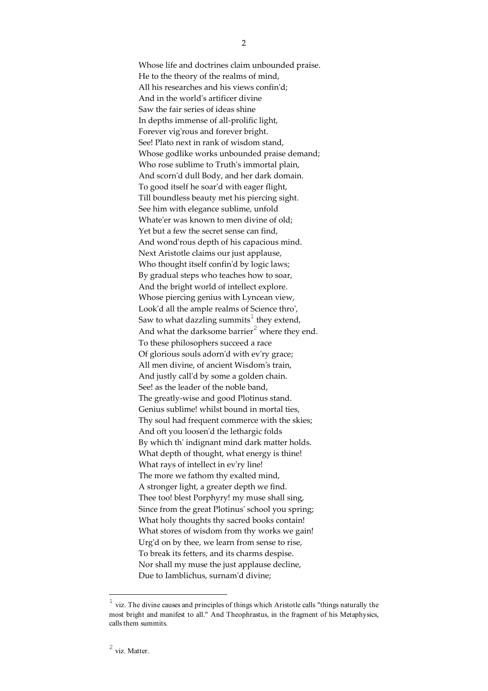Whose life and doctrines claim unbounded praise. He to the theory of the realms of mind, All his researches and his views confin'd; And in the world's artificer divine Saw the fair series of ideas shine In depths immense of all-prolific light, Forever vig'rous and forever bright. See! Plato next in rank of wisdom stand, Whose godlike works unbounded praise demand; Who rose sublime to Truth's immortal plain, And scorn'd dull Body, and her dark domain. To good itself he soar'd with eager flight, Till boundless beauty met his piercing sight. See him with elegance sublime, unfold Whate'er was known to men divine of old; Yet but a few the secret sense can find, And wond'rous depth of his capacious mind. Next Aristotle claims our just applause, Who thought itself confin'd by logic laws; By gradual steps who teaches how to soar, And the bright world of intellect explore. Whose piercing genius with Lyncean view, Look'd all the ample realms of Science thro', Saw to what dazzling summits<sup>1</sup> they extend, And what the darksome barrier<sup>2</sup> where they end. To these philosophers succeed a race Of glorious souls adorn'd with ev'ry grace; All men divine, of ancient Wisdom's train, And justly call'd by some a golden chain. See! as the leader of the noble band, The greatly-wise and good Plotinus stand. Genius sublime! whilst bound in mortal ties, Thy soul had frequent commerce with the skies; And oft you loosen'd the lethargic folds By which th' indignant mind dark matter holds. What depth of thought, what energy is thine! What rays of intellect in ev'ry line! The more we fathom thy exalted mind, A stronger light, a greater depth we find. Thee too! blest Porphyry! my muse shall sing, Since from the great Plotinus' school you spring; What holy thoughts thy sacred books contain! What stores of wisdom from thy works we gain! Urg'd on by thee, we learn from sense to rise, To break its fetters, and its charms despise. Nor shall my muse the just applause decline, Due to Iamblichus, surnam'd divine;

2

 $\frac{1}{1}$  viz. The divine causes and principles of things which Aristotle calls "things naturally the most bright and manifest to all." And Theophrastus, in the fragment of his Metaphysics, calls them summits.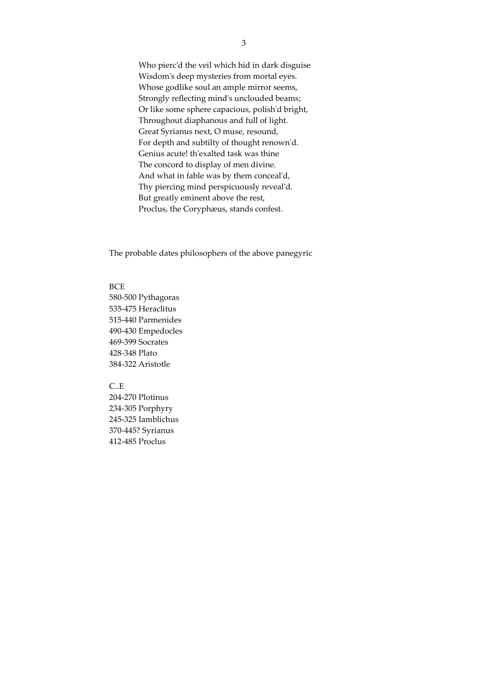Who pierc'd the veil which hid in dark disguise Wisdom's deep mysteries from mortal eyes. Whose godlike soul an ample mirror seems, Strongly reflecting mind's unclouded beams; Or like some sphere capacious, polish'd bright, Throughout diaphanous and full of light. Great Syrianus next, O muse, resound, For depth and subtilty of thought renown'd. Genius acute! th'exalted task was thine The concord to display of men divine. And what in fable was by them conceal'd, Thy piercing mind perspicuously reveal'd. But greatly eminent above the rest, Proclus, the Coryphæus, stands confest.

The probable dates philosophers of the above panegyric

## **BCE**

580-500 Pythagoras 535-475 Heraclitus 515-440 Parmenides 490-430 Empedocles 469-399 Socrates 428-348 Plato 384-322 Aristotle

## $C.E$

204-270 Plotinus 234-305 Porphyry 245-325 Iamblichus 370-445? Syrianus 412-485 Proclus